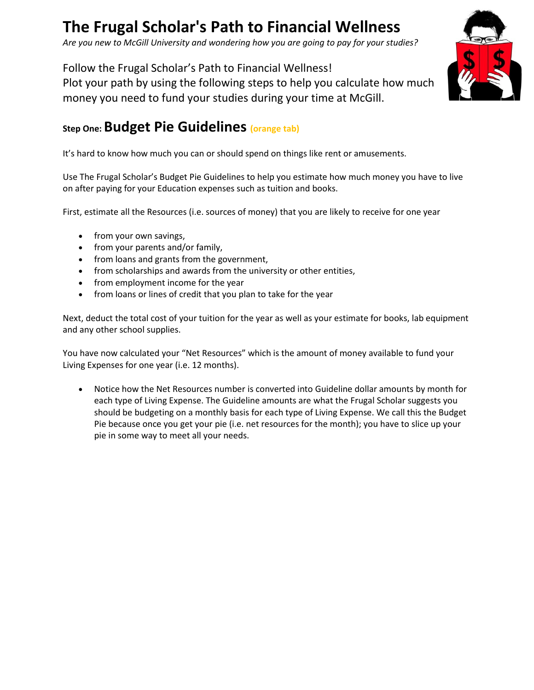## **The Frugal Scholar's Path to Financial Wellness**

*Are you new to McGill University and wondering how you are going to pay for your studies?*

Follow the Frugal Scholar's Path to Financial Wellness! Plot your path by using the following steps to help you calculate how much money you need to fund your studies during your time at McGill.



It's hard to know how much you can or should spend on things like rent or amusements.

Use The Frugal Scholar's Budget Pie Guidelines to help you estimate how much money you have to live on after paying for your Education expenses such as tuition and books.

First, estimate all the Resources (i.e. sources of money) that you are likely to receive for one year

- from your own savings,
- from your parents and/or family,
- from loans and grants from the government,
- from scholarships and awards from the university or other entities,
- from employment income for the year
- from loans or lines of credit that you plan to take for the year

Next, deduct the total cost of your tuition for the year as well as your estimate for books, lab equipment and any other school supplies.

You have now calculated your "Net Resources" which is the amount of money available to fund your Living Expenses for one year (i.e. 12 months).

 Notice how the Net Resources number is converted into Guideline dollar amounts by month for each type of Living Expense. The Guideline amounts are what the Frugal Scholar suggests you should be budgeting on a monthly basis for each type of Living Expense. We call this the Budget Pie because once you get your pie (i.e. net resources for the month); you have to slice up your pie in some way to meet all your needs.

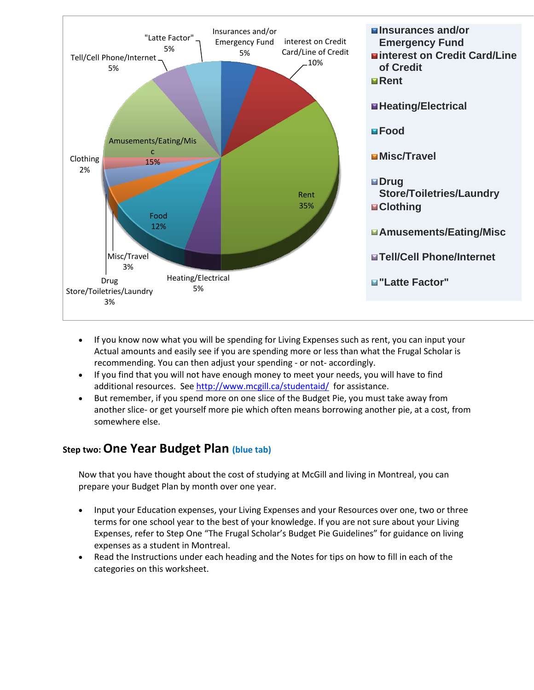

- If you know now what you will be spending for Living Expenses such as rent, you can input your Actual amounts and easily see if you are spending more or less than what the Frugal Scholar is recommending. You can then adjust your spending - or not- accordingly.
- If you find that you will not have enough money to meet your needs, you will have to find additional resources. See<http://www.mcgill.ca/studentaid/>for assistance.
- But remember, if you spend more on one slice of the Budget Pie, you must take away from another slice- or get yourself more pie which often means borrowing another pie, at a cost, from somewhere else.

## **Step two:One Year Budget Plan (blue tab)**

Now that you have thought about the cost of studying at McGill and living in Montreal, you can prepare your Budget Plan by month over one year.

- Input your Education expenses, your Living Expenses and your Resources over one, two or three terms for one school year to the best of your knowledge. If you are not sure about your Living Expenses, refer to Step One "The Frugal Scholar's Budget Pie Guidelines" for guidance on living expenses as a student in Montreal.
- Read the Instructions under each heading and the Notes for tips on how to fill in each of the categories on this worksheet.